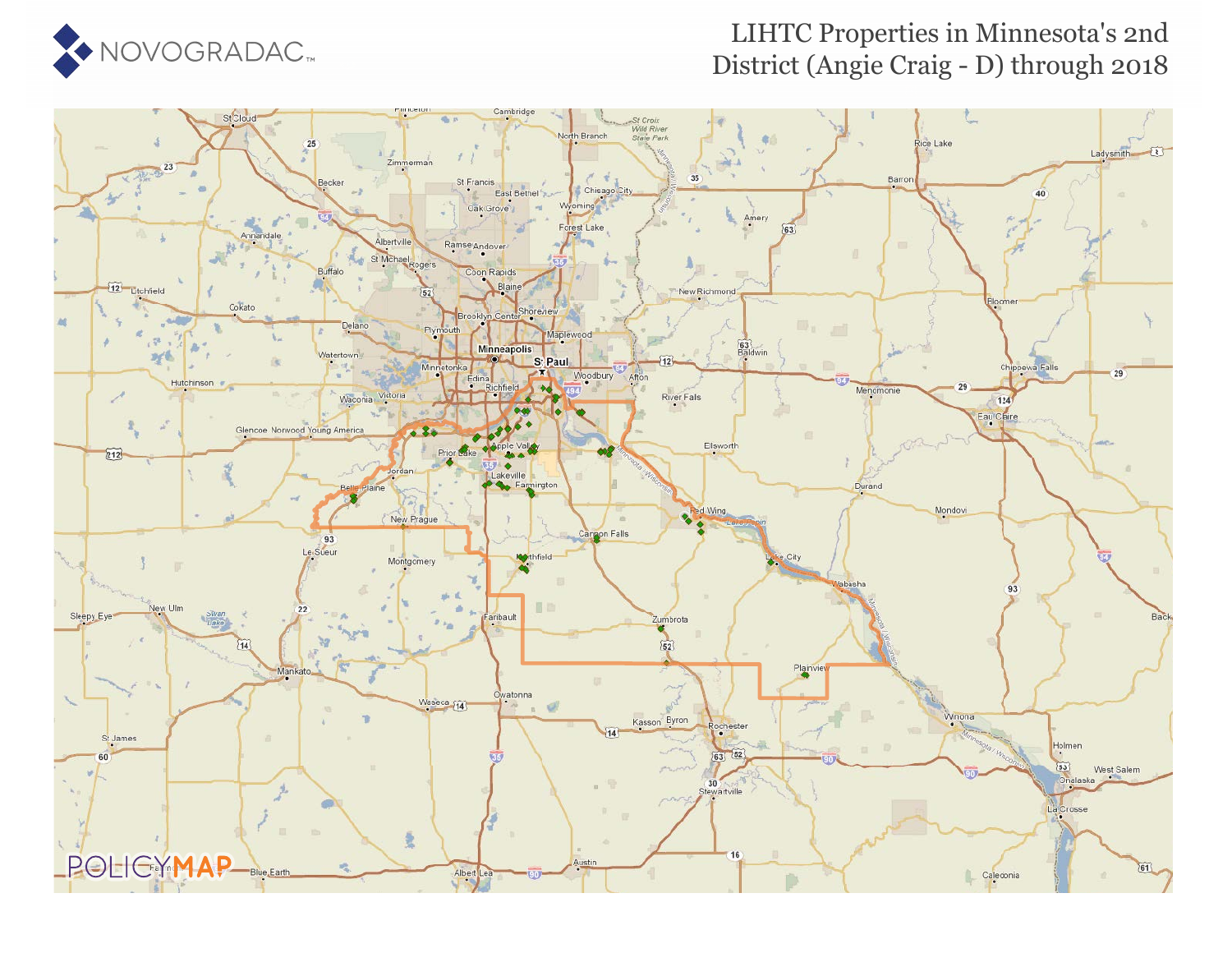

## LIHTC Properties in Minnesota's 2nd District (Angie Craig - D) through 2018

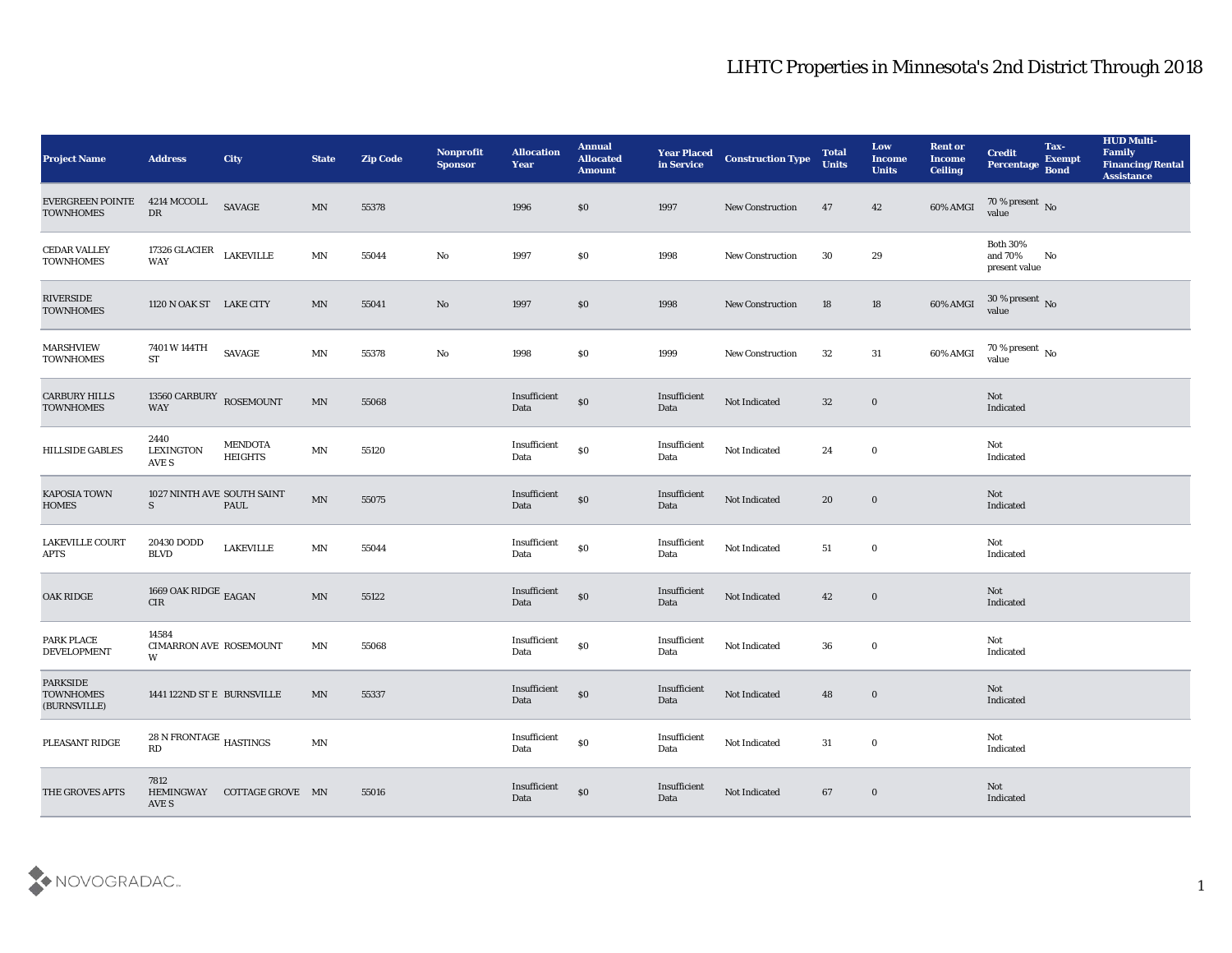| <b>Project Name</b>                                 | <b>Address</b>                             | City                             | <b>State</b>               | <b>Zip Code</b> | <b>Nonprofit</b><br><b>Sponsor</b> | <b>Allocation</b><br><b>Year</b>             | <b>Annual</b><br><b>Allocated</b><br><b>Amount</b> | <b>Year Placed</b><br>in Service | <b>Construction Type</b> | <b>Total</b><br><b>Units</b> | Low<br><b>Income</b><br><b>Units</b> | <b>Rent or</b><br><b>Income</b><br><b>Ceiling</b> | <b>Credit</b><br>Percentage                 | Tax-<br><b>Exempt</b><br><b>Bond</b> | <b>HUD Multi-</b><br>Family<br><b>Financing/Rental</b><br><b>Assistance</b> |
|-----------------------------------------------------|--------------------------------------------|----------------------------------|----------------------------|-----------------|------------------------------------|----------------------------------------------|----------------------------------------------------|----------------------------------|--------------------------|------------------------------|--------------------------------------|---------------------------------------------------|---------------------------------------------|--------------------------------------|-----------------------------------------------------------------------------|
| <b>EVERGREEN POINTE</b><br><b>TOWNHOMES</b>         | 4214 MCCOLL<br>DR                          | $\ensuremath{\mathrm{SAVAGE}}$   | MN                         | 55378           |                                    | 1996                                         | \$0                                                | 1997                             | <b>New Construction</b>  | 47                           | 42                                   | 60% AMGI                                          | $70\,\%$ present $\,$ No value              |                                      |                                                                             |
| <b>CEDAR VALLEY</b><br><b>TOWNHOMES</b>             | 17326 GLACIER<br><b>WAY</b>                | <b>LAKEVILLE</b>                 | MN                         | 55044           | $\mathbf{N}\mathbf{o}$             | 1997                                         | \$0                                                | 1998                             | New Construction         | 30                           | 29                                   |                                                   | <b>Both 30%</b><br>and 70%<br>present value | No                                   |                                                                             |
| RIVERSIDE<br><b>TOWNHOMES</b>                       | 1120 N OAK ST LAKE CITY                    |                                  | MN                         | 55041           | $\rm No$                           | 1997                                         | \$0                                                | 1998                             | New Construction         | 18                           | 18                                   | 60% AMGI                                          | $30\,\%$ present $\,$ No value              |                                      |                                                                             |
| <b>MARSHVIEW</b><br><b>TOWNHOMES</b>                | 7401 W 144TH<br><b>ST</b>                  | SAVAGE                           | MN                         | 55378           | $\mathbf {No}$                     | 1998                                         | \$0                                                | 1999                             | <b>New Construction</b>  | 32                           | 31                                   | 60% AMGI                                          | $70\,\%$ present $\,$ No value              |                                      |                                                                             |
| <b>CARBURY HILLS</b><br><b>TOWNHOMES</b>            | 13560 CARBURY<br><b>WAY</b>                | <b>ROSEMOUNT</b>                 | $\mathop{\rm MN}\nolimits$ | 55068           |                                    | Insufficient<br>Data                         | $\$0$                                              | Insufficient<br>Data             | Not Indicated            | 32                           | $\bf{0}$                             |                                                   | Not<br>Indicated                            |                                      |                                                                             |
| <b>HILLSIDE GABLES</b>                              | 2440<br><b>LEXINGTON</b><br>AVE S          | <b>MENDOTA</b><br><b>HEIGHTS</b> | MN                         | 55120           |                                    | Insufficient<br>Data                         | $\$0$                                              | Insufficient<br>Data             | Not Indicated            | 24                           | $\bf{0}$                             |                                                   | Not<br>Indicated                            |                                      |                                                                             |
| <b>KAPOSIA TOWN</b><br><b>HOMES</b>                 | 1027 NINTH AVE SOUTH SAINT<br>S            | PAUL                             | $\mathop{\rm MN}\nolimits$ | 55075           |                                    | Insufficient<br>Data                         | $\$0$                                              | Insufficient<br>Data             | Not Indicated            | 20                           | $\bf{0}$                             |                                                   | Not<br>Indicated                            |                                      |                                                                             |
| <b>LAKEVILLE COURT</b><br><b>APTS</b>               | 20430 DODD<br><b>BLVD</b>                  | <b>LAKEVILLE</b>                 | $\mathbf{M} \mathbf{N}$    | 55044           |                                    | Insufficient<br>Data                         | $\$0$                                              | Insufficient<br>Data             | Not Indicated            | 51                           | $\bf{0}$                             |                                                   | Not<br>Indicated                            |                                      |                                                                             |
| <b>OAK RIDGE</b>                                    | 1669 OAK RIDGE $_{\rm EAGAN}$<br>$\rm CIR$ |                                  | $\mathop{\rm MN}\nolimits$ | 55122           |                                    | Insufficient<br>Data                         | $\$0$                                              | Insufficient<br>Data             | Not Indicated            | 42                           | $\bf{0}$                             |                                                   | Not<br>Indicated                            |                                      |                                                                             |
| PARK PLACE<br><b>DEVELOPMENT</b>                    | 14584<br>CIMARRON AVE ROSEMOUNT<br>W       |                                  | MN                         | 55068           |                                    | Insufficient<br>Data                         | $\$0$                                              | Insufficient<br>Data             | Not Indicated            | 36                           | $\bf{0}$                             |                                                   | Not<br>Indicated                            |                                      |                                                                             |
| <b>PARKSIDE</b><br><b>TOWNHOMES</b><br>(BURNSVILLE) | 1441 122ND ST E BURNSVILLE                 |                                  | MN                         | 55337           |                                    | Insufficient<br>Data                         | $\$0$                                              | Insufficient<br>Data             | Not Indicated            | 48                           | $\bf{0}$                             |                                                   | Not<br>Indicated                            |                                      |                                                                             |
| PLEASANT RIDGE                                      | 28 N FRONTAGE $$\tt HASTINGS$$<br>RD       |                                  | $\mathbf{M} \mathbf{N}$    |                 |                                    | $\label{eq:invariant} In sufficient$<br>Data | $\$0$                                              | Insufficient<br>Data             | Not Indicated            | 31                           | $\mathbf 0$                          |                                                   | Not<br>Indicated                            |                                      |                                                                             |
| THE GROVES APTS                                     | 7812<br><b>HEMINGWAY</b><br>AVE S          | COTTAGE GROVE MN                 |                            | 55016           |                                    | Insufficient<br>Data                         | $\$0$                                              | Insufficient<br>Data             | Not Indicated            | $\bf 67$                     | $\boldsymbol{0}$                     |                                                   | $\operatorname{\bf Not}$<br>Indicated       |                                      |                                                                             |

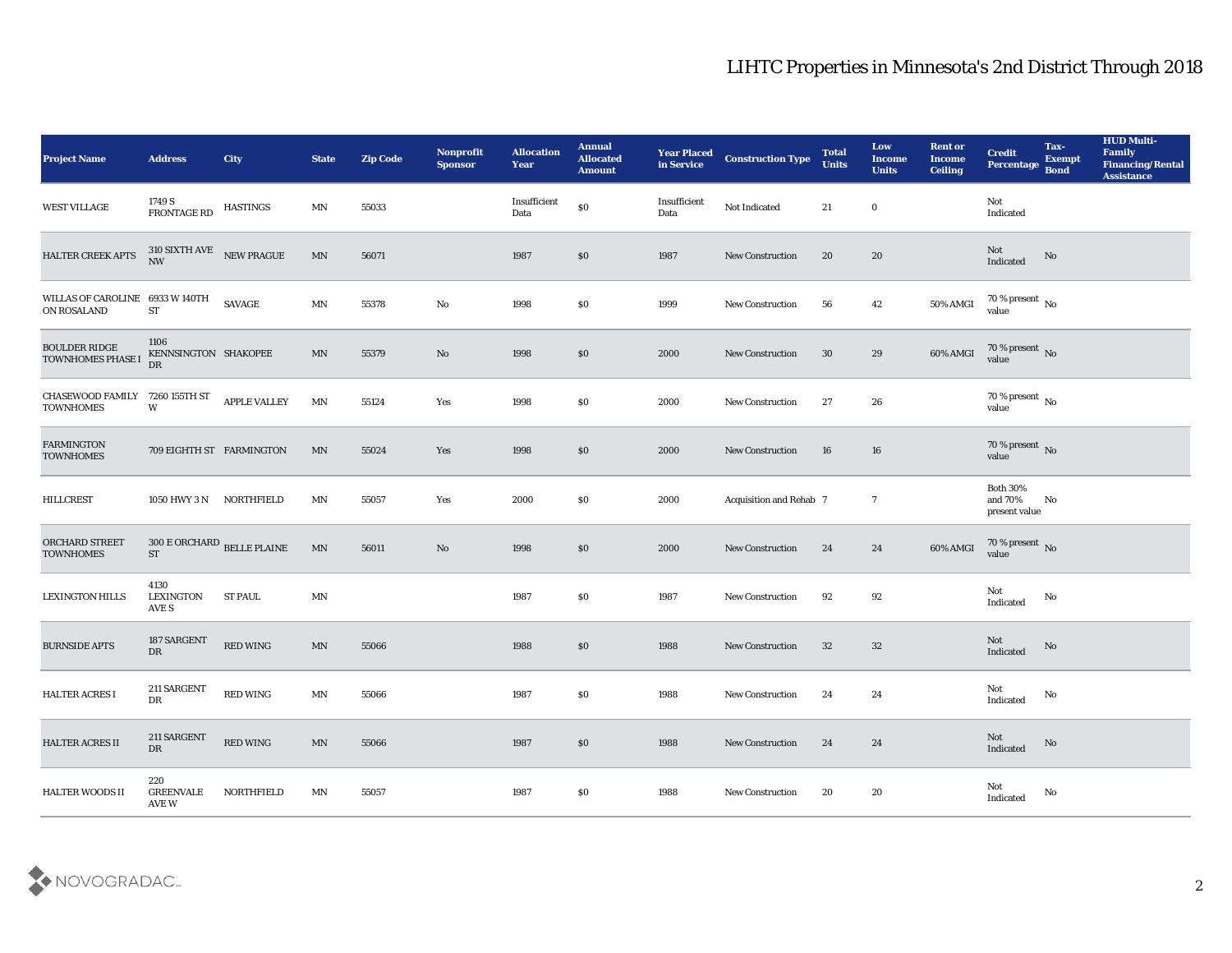| <b>Project Name</b>                            | <b>Address</b>                                        | City                                  | <b>State</b>            | <b>Zip Code</b> | Nonprofit<br><b>Sponsor</b> | <b>Allocation</b><br><b>Year</b> | <b>Annual</b><br><b>Allocated</b><br><b>Amount</b> | <b>Year Placed</b><br>in Service | <b>Construction Type</b> | <b>Total</b><br><b>Units</b> | Low<br><b>Income</b><br><b>Units</b> | <b>Rent or</b><br><b>Income</b><br><b>Ceiling</b> | <b>Credit</b><br>Percentage                 | Tax-<br><b>Exempt</b><br><b>Bond</b> | <b>HUD Multi-</b><br>Family<br><b>Financing/Rental</b><br><b>Assistance</b> |
|------------------------------------------------|-------------------------------------------------------|---------------------------------------|-------------------------|-----------------|-----------------------------|----------------------------------|----------------------------------------------------|----------------------------------|--------------------------|------------------------------|--------------------------------------|---------------------------------------------------|---------------------------------------------|--------------------------------------|-----------------------------------------------------------------------------|
| WEST VILLAGE                                   | 1749 S<br>FRONTAGE RD                                 | <b>HASTINGS</b>                       | MN                      | 55033           |                             | Insufficient<br>Data             | $\$0$                                              | Insufficient<br>Data             | Not Indicated            | 21                           | $\bf{0}$                             |                                                   | Not<br>Indicated                            |                                      |                                                                             |
| HALTER CREEK APTS                              | $310$ SIXTH AVE $$\tt NEW\ PRAGUE$$<br>NW             |                                       | MN                      | 56071           |                             | 1987                             | \$0                                                | 1987                             | <b>New Construction</b>  | 20                           | 20                                   |                                                   | Not<br>Indicated                            | No                                   |                                                                             |
| WILLAS OF CAROLINE 6933 W 140TH<br>ON ROSALAND | <b>ST</b>                                             | <b>SAVAGE</b>                         | $\mathbf{M} \mathbf{N}$ | 55378           | $\mathbf{N}\mathbf{o}$      | 1998                             | \$0                                                | 1999                             | <b>New Construction</b>  | 56                           | 42                                   | 50% AMGI                                          | $70\,\%$ present $\,$ No value              |                                      |                                                                             |
| <b>BOULDER RIDGE</b><br>TOWNHOMES PHASE I      | 1106<br>KENNSINGTON SHAKOPEE<br>DR                    |                                       | MN                      | 55379           | No                          | 1998                             | \$0                                                | 2000                             | <b>New Construction</b>  | 30                           | 29                                   | 60% AMGI                                          | $70\,\%$ present $\,$ No value              |                                      |                                                                             |
| <b>CHASEWOOD FAMILY</b><br><b>TOWNHOMES</b>    | 7260 155TH ST<br>$\ensuremath{\text{W}}$              | <b>APPLE VALLEY</b>                   | MN                      | 55124           | Yes                         | 1998                             | \$0                                                | 2000                             | New Construction         | 27                           | 26                                   |                                                   | $70\,\%$ present $\,$ No value              |                                      |                                                                             |
| <b>FARMINGTON</b><br><b>TOWNHOMES</b>          | 709 EIGHTH ST FARMINGTON                              |                                       | MN                      | 55024           | Yes                         | 1998                             | \$0                                                | 2000                             | <b>New Construction</b>  | 16                           | 16                                   |                                                   | $70$ % present $_{\rm{No}}$ $_{\rm{value}}$ |                                      |                                                                             |
| <b>HILLCREST</b>                               | 1050 HWY 3 N NORTHFIELD                               |                                       | MN                      | 55057           | Yes                         | 2000                             | \$0                                                | 2000                             | Acquisition and Rehab 7  |                              | $\overline{7}$                       |                                                   | <b>Both 30%</b><br>and 70%<br>present value | No                                   |                                                                             |
| ORCHARD STREET<br><b>TOWNHOMES</b>             | $300$ E ORCHARD $_{\rm{BELLE\, PLAINE}}$<br><b>ST</b> |                                       | MN                      | 56011           | No                          | 1998                             | \$0                                                | 2000                             | <b>New Construction</b>  | 24                           | 24                                   | 60% AMGI                                          | $70\,\%$ present $\,$ No value              |                                      |                                                                             |
| <b>LEXINGTON HILLS</b>                         | 4130<br>LEXINGTON<br>AVE S                            | <b>ST PAUL</b>                        | MN                      |                 |                             | 1987                             | \$0                                                | 1987                             | <b>New Construction</b>  | 92                           | 92                                   |                                                   | Not<br>Indicated                            | No                                   |                                                                             |
| <b>BURNSIDE APTS</b>                           | 187 SARGENT<br>${\rm DR}$                             | <b>RED WING</b>                       | MN                      | 55066           |                             | 1988                             | S <sub>0</sub>                                     | 1988                             | <b>New Construction</b>  | 32                           | 32                                   |                                                   | Not<br>Indicated                            | No                                   |                                                                             |
| <b>HALTER ACRES I</b>                          | 211 SARGENT<br>DR                                     | <b>RED WING</b>                       | MN                      | 55066           |                             | 1987                             | $\$0$                                              | 1988                             | <b>New Construction</b>  | 24                           | 24                                   |                                                   | Not<br>$\operatorname{Indicated}$           | No                                   |                                                                             |
| <b>HALTER ACRES II</b>                         | 211 SARGENT<br>DR                                     | $\mathop{\mathrm{RED}}\nolimits$ WING | MN                      | 55066           |                             | 1987                             | $\$0$                                              | 1988                             | <b>New Construction</b>  | 24                           | 24                                   |                                                   | Not<br>Indicated                            | $\rm \bf No$                         |                                                                             |
| <b>HALTER WOODS II</b>                         | 220<br><b>GREENVALE</b><br>AVE W                      | NORTHFIELD                            | MN                      | 55057           |                             | 1987                             | $\$0$                                              | 1988                             | <b>New Construction</b>  | 20                           | $20\,$                               |                                                   | Not<br>Indicated                            | $\rm No$                             |                                                                             |

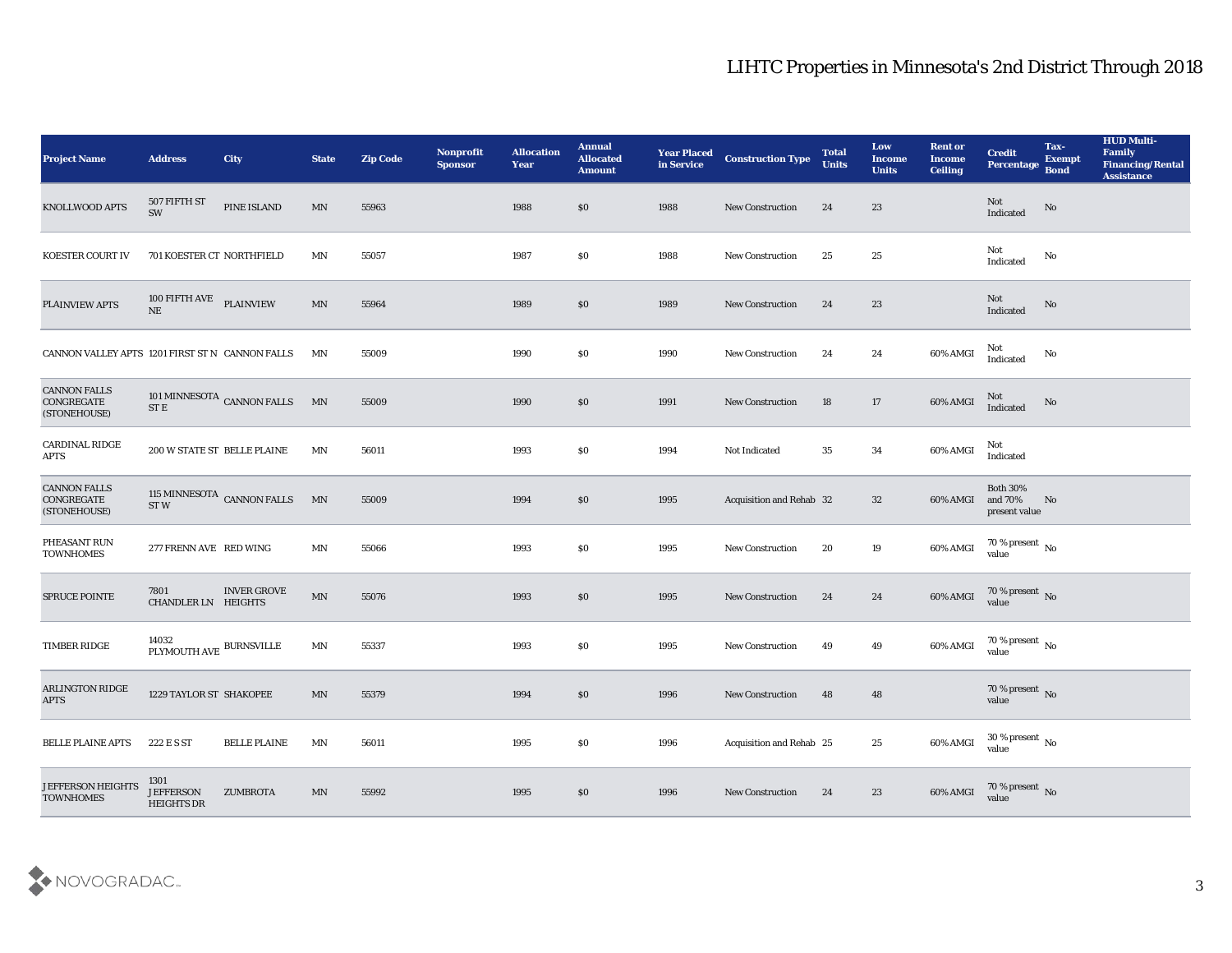## LIHTC Properties in Minnesota's 2nd District Through 2018

| <b>Project Name</b>                               | <b>Address</b>                                  | <b>City</b>                | <b>State</b>             | <b>Zip Code</b> | Nonprofit<br><b>Sponsor</b> | <b>Allocation</b><br><b>Year</b> | <b>Annual</b><br><b>Allocated</b><br><b>Amount</b> | <b>Year Placed</b><br>in Service | <b>Construction Type</b> | <b>Total</b><br><b>Units</b> | Low<br><b>Income</b><br><b>Units</b> | <b>Rent or</b><br><b>Income</b><br><b>Ceiling</b> | <b>Credit</b><br>Percentage                       | Tax-<br><b>Exempt</b><br><b>Bond</b> | <b>HUD Multi-</b><br>Family<br><b>Financing/Rental</b><br><b>Assistance</b> |
|---------------------------------------------------|-------------------------------------------------|----------------------------|--------------------------|-----------------|-----------------------------|----------------------------------|----------------------------------------------------|----------------------------------|--------------------------|------------------------------|--------------------------------------|---------------------------------------------------|---------------------------------------------------|--------------------------------------|-----------------------------------------------------------------------------|
| KNOLLWOOD APTS                                    | 507 FIFTH ST<br>SW                              | PINE ISLAND                | MN                       | 55963           |                             | 1988                             | \$0                                                | 1988                             | <b>New Construction</b>  | 24                           | 23                                   |                                                   | Not<br>$\label{lem:indicated} \textbf{Indicated}$ | No                                   |                                                                             |
| KOESTER COURT IV                                  | 701 KOESTER CT NORTHFIELD                       |                            | MΝ                       | 55057           |                             | 1987                             | \$0                                                | 1988                             | <b>New Construction</b>  | 25                           | 25                                   |                                                   | Not<br>Indicated                                  | No                                   |                                                                             |
| PLAINVIEW APTS                                    | 100 FIFTH AVE PLAINVIEW<br>NE                   |                            | $\ensuremath{\text{MN}}$ | 55964           |                             | 1989                             | \$0                                                | 1989                             | New Construction         | 24                           | 23                                   |                                                   | Not<br>Indicated                                  | No                                   |                                                                             |
| CANNON VALLEY APTS 1201 FIRST ST N CANNON FALLS   |                                                 |                            | MN                       | 55009           |                             | 1990                             | \$0                                                | 1990                             | <b>New Construction</b>  | 24                           | 24                                   | 60% AMGI                                          | Not<br>Indicated                                  | No                                   |                                                                             |
| <b>CANNON FALLS</b><br>CONGREGATE<br>(STONEHOUSE) | ST E                                            | 101 MINNESOTA CANNON FALLS | MN                       | 55009           |                             | 1990                             | \$0                                                | 1991                             | <b>New Construction</b>  | 18                           | 17                                   | 60% AMGI                                          | Not<br>Indicated                                  | No                                   |                                                                             |
| CARDINAL RIDGE<br><b>APTS</b>                     | 200 W STATE ST BELLE PLAINE                     |                            | MN                       | 56011           |                             | 1993                             | \$0                                                | 1994                             | Not Indicated            | 35                           | 34                                   | 60% AMGI                                          | Not<br>Indicated                                  |                                      |                                                                             |
| <b>CANNON FALLS</b><br>CONGREGATE<br>(STONEHOUSE) | ST <sub>W</sub>                                 | 115 MINNESOTA CANNON FALLS | MN                       | 55009           |                             | 1994                             | \$0                                                | 1995                             | Acquisition and Rehab 32 |                              | 32                                   | 60% AMGI                                          | Both $30\%$<br>and 70%<br>present value           | No                                   |                                                                             |
| PHEASANT RUN<br><b>TOWNHOMES</b>                  | 277 FRENN AVE RED WING                          |                            | MN                       | 55066           |                             | 1993                             | \$0                                                | 1995                             | <b>New Construction</b>  | 20                           | 19                                   | 60% AMGI                                          | 70 % present $\,$ No $\,$<br>value                |                                      |                                                                             |
| SPRUCE POINTE                                     | 7801<br><b>CHANDLER LN HEIGHTS</b>              | <b>INVER GROVE</b>         | MN                       | 55076           |                             | 1993                             | \$0                                                | 1995                             | <b>New Construction</b>  | 24                           | 24                                   | 60% AMGI                                          | $70\,\%$ present $\,$ No value                    |                                      |                                                                             |
| <b>TIMBER RIDGE</b>                               | $14032$ $$\rm PLYMOUTH\,AVE$ $$\rm BURNSVILLE$$ |                            | $\ensuremath{\text{MN}}$ | 55337           |                             | 1993                             | \$0                                                | 1995                             | <b>New Construction</b>  | 49                           | 49                                   | 60% AMGI                                          | $70\,\%$ present $\,$ No value                    |                                      |                                                                             |
| <b>ARLINGTON RIDGE</b><br><b>APTS</b>             | 1229 TAYLOR ST SHAKOPEE                         |                            | MN                       | 55379           |                             | 1994                             | \$0                                                | 1996                             | <b>New Construction</b>  | 48                           | 48                                   |                                                   | 70 % present No<br>value                          |                                      |                                                                             |
| <b>BELLE PLAINE APTS</b>                          | 222 E S ST                                      | <b>BELLE PLAINE</b>        | MN                       | 56011           |                             | 1995                             | $\$0$                                              | 1996                             | Acquisition and Rehab 25 |                              | 25                                   | 60% AMGI                                          | $30\,\%$ present $\,$ No value                    |                                      |                                                                             |
| <b>JEFFERSON HEIGHTS</b><br><b>TOWNHOMES</b>      | 1301<br><b>JEFFERSON</b><br><b>HEIGHTS DR</b>   | ZUMBROTA                   | $\ensuremath{\text{MN}}$ | 55992           |                             | 1995                             | \$0                                                | 1996                             | <b>New Construction</b>  | 24                           | 23                                   | 60% AMGI                                          | $70\,\%$ present $\,$ No value                    |                                      |                                                                             |

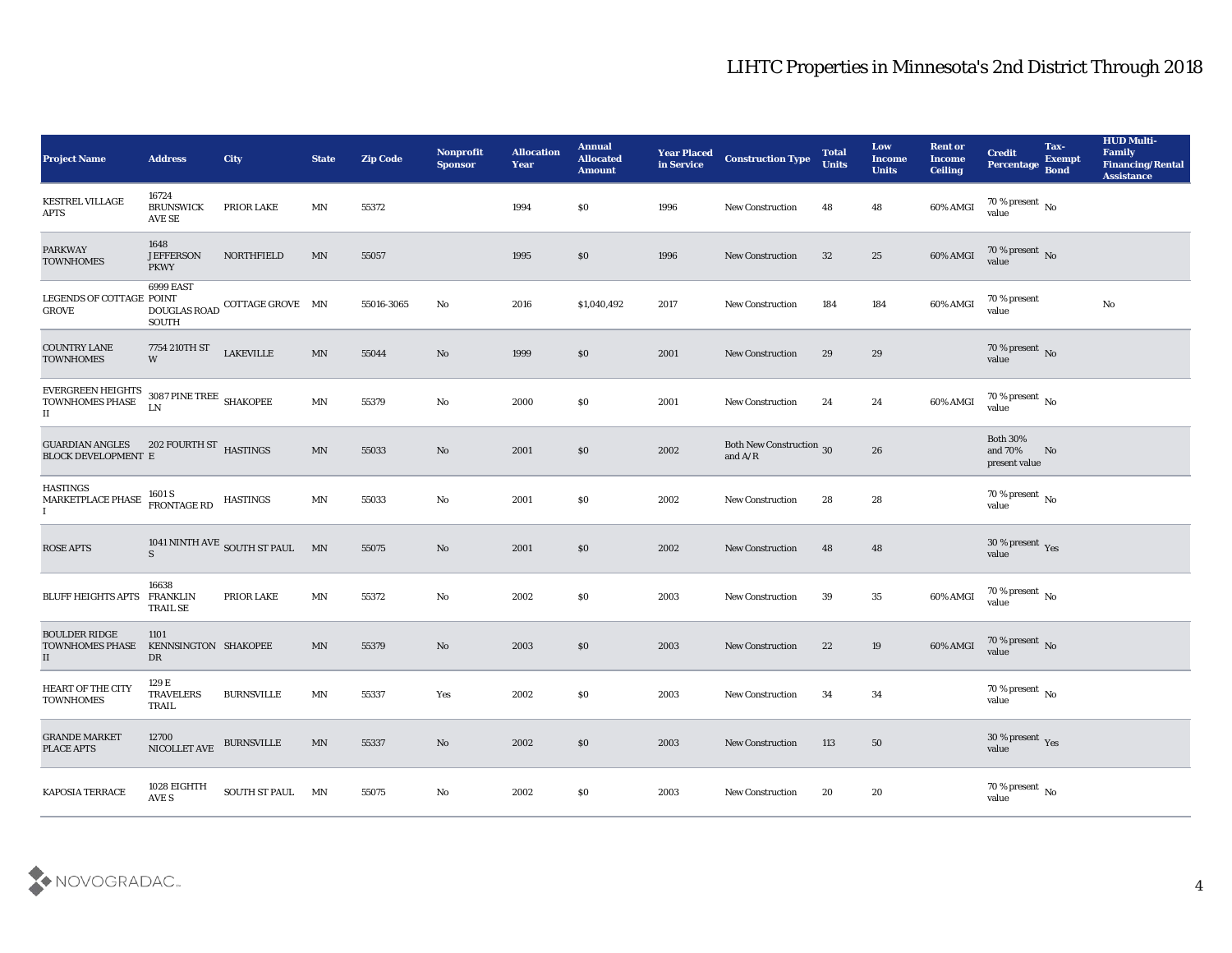| <b>Project Name</b>                                                 | <b>Address</b>                              | <b>City</b>                  | <b>State</b> | <b>Zip Code</b> | <b>Nonprofit</b><br><b>Sponsor</b> | <b>Allocation</b><br><b>Year</b> | <b>Annual</b><br><b>Allocated</b><br><b>Amount</b> | <b>Year Placed</b><br>in Service | <b>Construction Type</b>                                                                 | <b>Total</b><br><b>Units</b> | Low<br><b>Income</b><br><b>Units</b> | <b>Rent or</b><br><b>Income</b><br><b>Ceiling</b> | <b>Credit</b><br><b>Percentage</b>          | Tax-<br><b>Exempt</b><br><b>Bond</b> | <b>HUD Multi-</b><br>Family<br><b>Financing/Rental</b><br><b>Assistance</b> |
|---------------------------------------------------------------------|---------------------------------------------|------------------------------|--------------|-----------------|------------------------------------|----------------------------------|----------------------------------------------------|----------------------------------|------------------------------------------------------------------------------------------|------------------------------|--------------------------------------|---------------------------------------------------|---------------------------------------------|--------------------------------------|-----------------------------------------------------------------------------|
| <b>KESTREL VILLAGE</b><br><b>APTS</b>                               | 16724<br><b>BRUNSWICK</b><br>AVE SE         | PRIOR LAKE                   | MN           | 55372           |                                    | 1994                             | $\$0$                                              | 1996                             | <b>New Construction</b>                                                                  | 48                           | 48                                   | 60% AMGI                                          | $70\,\%$ present $\,$ No $\,$<br>value      |                                      |                                                                             |
| <b>PARKWAY</b><br><b>TOWNHOMES</b>                                  | 1648<br><b>JEFFERSON</b><br><b>PKWY</b>     | NORTHFIELD                   | MN           | 55057           |                                    | 1995                             | \$0                                                | 1996                             | <b>New Construction</b>                                                                  | 32                           | 25                                   | 60% AMGI                                          | $70\,\%$ present $\,$ No value              |                                      |                                                                             |
| LEGENDS OF COTTAGE POINT<br><b>GROVE</b>                            | 6999 EAST<br>DOUGLAS ROAD<br><b>SOUTH</b>   | COTTAGE GROVE MN             |              | 55016-3065      | No                                 | 2016                             | \$1,040,492                                        | 2017                             | <b>New Construction</b>                                                                  | 184                          | 184                                  | 60% AMGI                                          | 70 % present<br>value                       |                                      | $\mathbf{N}\mathbf{o}$                                                      |
| <b>COUNTRY LANE</b><br><b>TOWNHOMES</b>                             | 7754 210TH ST<br>W                          | <b>LAKEVILLE</b>             | $\text{MN}$  | 55044           | No                                 | 1999                             | \$0                                                | 2001                             | <b>New Construction</b>                                                                  | 29                           | 29                                   |                                                   | $70\,\%$ present $\,$ No value              |                                      |                                                                             |
| <b>EVERGREEN HEIGHTS</b><br>TOWNHOMES PHASE<br>$\scriptstyle\rm II$ | 3087 PINE TREE $\,$ SHAKOPEE<br>LN          |                              | MN           | 55379           | No                                 | 2000                             | \$0                                                | 2001                             | <b>New Construction</b>                                                                  | 24                           | 24                                   | 60% AMGI                                          | 70 % present No<br>value                    |                                      |                                                                             |
| <b>GUARDIAN ANGLES</b><br><b>BLOCK DEVELOPMENT E</b>                | 202 FOURTH ST HASTINGS                      |                              | MN           | 55033           | No                                 | 2001                             | \$0                                                | 2002                             | <b>Both New Construction</b> 30<br>and $\ensuremath{\mathrm{A}}/\ensuremath{\mathrm{R}}$ |                              | 26                                   |                                                   | <b>Both 30%</b><br>and 70%<br>present value | No                                   |                                                                             |
| <b>HASTINGS</b><br>MARKETPLACE PHASE<br>$\mathbf{I}$                | 1601 S<br>FRONTAGE RD                       | <b>HASTINGS</b>              | MN           | 55033           | No                                 | 2001                             | $\$0$                                              | 2002                             | <b>New Construction</b>                                                                  | 28                           | 28                                   |                                                   | 70 % present No<br>value                    |                                      |                                                                             |
| <b>ROSE APTS</b>                                                    | $\mathbf S$                                 | 1041 NINTH AVE SOUTH ST PAUL | MN           | 55075           | No                                 | 2001                             | \$0                                                | 2002                             | <b>New Construction</b>                                                                  | 48                           | 48                                   |                                                   | $30\,\%$ present $\,$ Yes value             |                                      |                                                                             |
| <b>BLUFF HEIGHTS APTS</b>                                           | 16638<br><b>FRANKLIN</b><br><b>TRAIL SE</b> | PRIOR LAKE                   | MN           | 55372           | No                                 | 2002                             | \$0                                                | 2003                             | <b>New Construction</b>                                                                  | 39                           | 35                                   | 60% AMGI                                          | $70\,\%$ present $\;$ No value              |                                      |                                                                             |
| <b>BOULDER RIDGE</b><br><b>TOWNHOMES PHASE</b><br>$\mathbf{II}$     | 1101<br>KENNSINGTON SHAKOPEE<br>DR          |                              | MN           | 55379           | No                                 | 2003                             | \$0                                                | 2003                             | <b>New Construction</b>                                                                  | 22                           | 19                                   | 60% AMGI                                          | $70\,\%$ present $\,$ No value              |                                      |                                                                             |
| HEART OF THE CITY<br><b>TOWNHOMES</b>                               | 129 E<br><b>TRAVELERS</b><br>TRAIL          | <b>BURNSVILLE</b>            | MN           | 55337           | Yes                                | 2002                             | $\$0$                                              | 2003                             | <b>New Construction</b>                                                                  | 34                           | 34                                   |                                                   | 70 % present $\sqrt{\ }$<br>value           |                                      |                                                                             |
| <b>GRANDE MARKET</b><br>PLACE APTS                                  | 12700<br>NICOLLET AVE                       | <b>BURNSVILLE</b>            | MN           | 55337           | $\rm\thinspace No$                 | 2002                             | $\$0$                                              | 2003                             | New Construction                                                                         | 113                          | 50                                   |                                                   | $30\,\%$ present $\,$ Yes value             |                                      |                                                                             |
| KAPOSIA TERRACE                                                     | $1028$ EIGHTH AVE S                         | SOUTH ST PAUL MN             |              | 55075           | $\mathbf {No}$                     | 2002                             | $\$0$                                              | 2003                             | New Construction                                                                         | 20                           | $20\,$                               |                                                   | $70\,\%$ present $\,$ No value              |                                      |                                                                             |

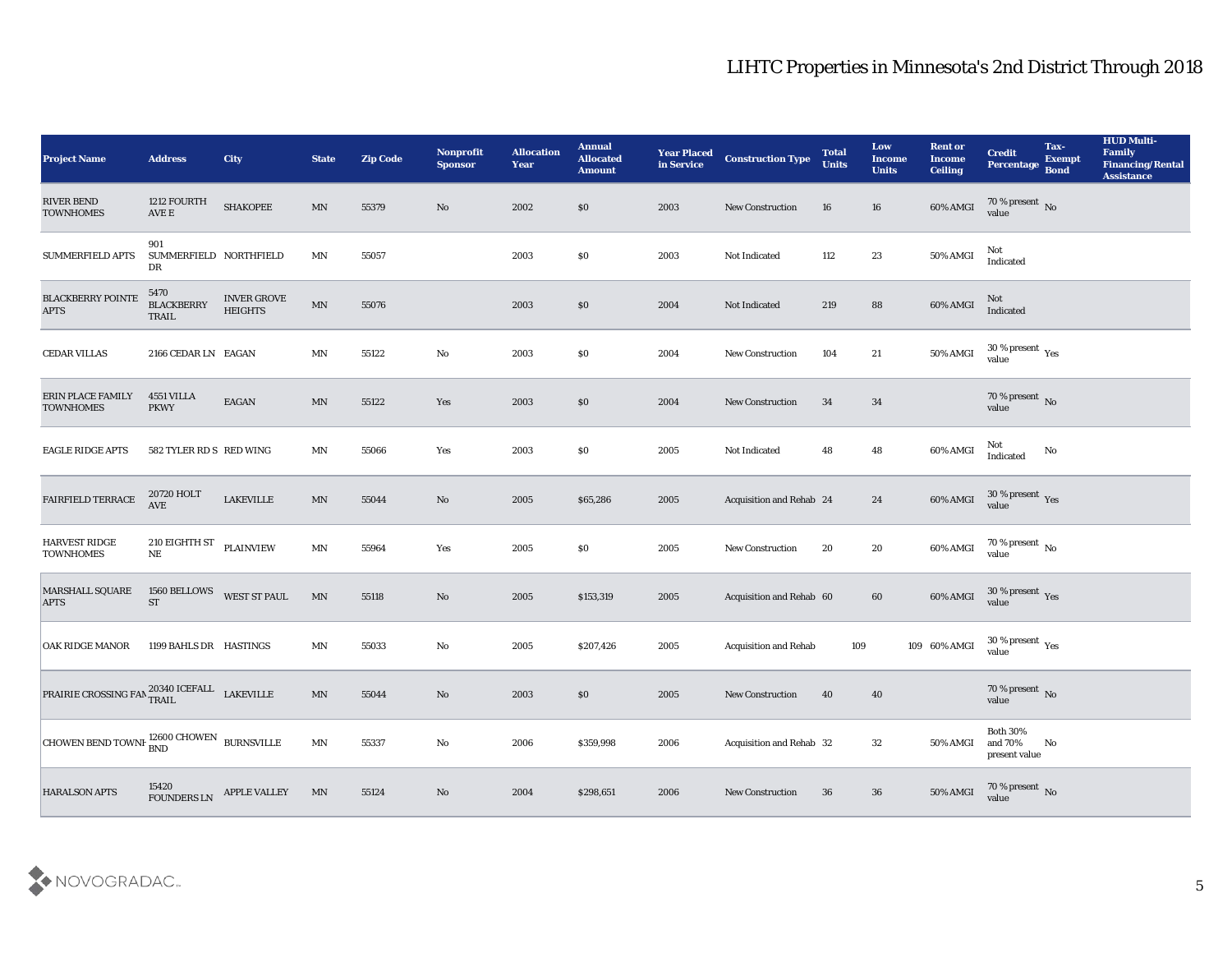## LIHTC Properties in Minnesota's 2nd District Through 2018

| <b>Project Name</b>                               | <b>Address</b>                        | <b>City</b>                          | <b>State</b>             | <b>Zip Code</b> | Nonprofit<br><b>Sponsor</b> | <b>Allocation</b><br><b>Year</b> | <b>Annual</b><br><b>Allocated</b><br><b>Amount</b> | <b>Year Placed</b><br>in Service | <b>Construction Type</b>     | <b>Total</b><br><b>Units</b> | Low<br><b>Income</b><br><b>Units</b> | <b>Rent or</b><br><b>Income</b><br><b>Ceiling</b> | <b>Credit</b><br>Percentage                 | Tax-<br><b>Exempt</b><br><b>Bond</b> | <b>HUD Multi-</b><br>Family<br><b>Financing/Rental</b><br><b>Assistance</b> |
|---------------------------------------------------|---------------------------------------|--------------------------------------|--------------------------|-----------------|-----------------------------|----------------------------------|----------------------------------------------------|----------------------------------|------------------------------|------------------------------|--------------------------------------|---------------------------------------------------|---------------------------------------------|--------------------------------------|-----------------------------------------------------------------------------|
| <b>RIVER BEND</b><br><b>TOWNHOMES</b>             | 1212 FOURTH<br>$\operatorname{AVE}$ E | <b>SHAKOPEE</b>                      | MN                       | 55379           | No                          | 2002                             | \$0                                                | 2003                             | <b>New Construction</b>      | 16                           | 16                                   | 60% AMGI                                          | $70\,\%$ present $\,$ No value              |                                      |                                                                             |
| <b>SUMMERFIELD APTS</b>                           | 901<br>SUMMERFIELD NORTHFIELD<br>DR   |                                      | MN                       | 55057           |                             | 2003                             | \$0                                                | 2003                             | Not Indicated                | 112                          | 23                                   | 50% AMGI                                          | Not<br>Indicated                            |                                      |                                                                             |
| <b>BLACKBERRY POINTE</b><br><b>APTS</b>           | 5470<br><b>BLACKBERRY</b><br>TRAIL    | <b>INVER GROVE</b><br><b>HEIGHTS</b> | $\mathbf{M} \mathbf{N}$  | 55076           |                             | 2003                             | \$0                                                | 2004                             | Not Indicated                | 219                          | 88                                   | 60% AMGI                                          | Not<br>Indicated                            |                                      |                                                                             |
| <b>CEDAR VILLAS</b>                               | 2166 CEDAR LN EAGAN                   |                                      | MN                       | 55122           | No                          | 2003                             | \$0                                                | 2004                             | <b>New Construction</b>      | 104                          | 21                                   | 50% AMGI                                          | $30\,\%$ present $\,$ Yes value             |                                      |                                                                             |
| <b>ERIN PLACE FAMILY</b><br><b>TOWNHOMES</b>      | 4551 VILLA<br><b>PKWY</b>             | EAGAN                                | MN                       | 55122           | Yes                         | 2003                             | \$0                                                | 2004                             | <b>New Construction</b>      | 34                           | 34                                   |                                                   | $70\,\%$ present $\,$ No value              |                                      |                                                                             |
| <b>EAGLE RIDGE APTS</b>                           | 582 TYLER RD S RED WING               |                                      | MN                       | 55066           | Yes                         | 2003                             | \$0                                                | 2005                             | Not Indicated                | 48                           | 48                                   | 60% AMGI                                          | Not<br>Indicated                            | No                                   |                                                                             |
| FAIRFIELD TERRACE                                 | 20720 HOLT<br>$\operatorname{AVE}$    | <b>LAKEVILLE</b>                     | MN                       | 55044           | No                          | 2005                             | \$65,286                                           | 2005                             | Acquisition and Rehab 24     |                              | 24                                   | 60% AMGI                                          | $30\,\%$ present $\,\mathrm{Yes}$ value     |                                      |                                                                             |
| <b>HARVEST RIDGE</b><br><b>TOWNHOMES</b>          | 210 EIGHTH ST<br>$\rm{NE}$            | PLAINVIEW                            | MN                       | 55964           | Yes                         | 2005                             | \$0                                                | 2005                             | <b>New Construction</b>      | 20                           | 20                                   | 60% AMGI                                          | 70 % present No<br>value                    |                                      |                                                                             |
| MARSHALL SQUARE<br><b>APTS</b>                    | 1560 BELLOWS<br><b>ST</b>             | <b>WEST ST PAUL</b>                  | $\ensuremath{\text{MN}}$ | 55118           | No                          | 2005                             | \$153,319                                          | 2005                             | Acquisition and Rehab 60     |                              | 60                                   | 60% AMGI                                          | $30\,\%$ present $\,$ Yes value             |                                      |                                                                             |
| <b>OAK RIDGE MANOR</b>                            | 1199 BAHLS DR HASTINGS                |                                      | MN                       | 55033           | No                          | 2005                             | \$207,426                                          | 2005                             | <b>Acquisition and Rehab</b> | 109                          |                                      | 109 60% AMGI                                      | $30\,\%$ present $\,$ Yes value             |                                      |                                                                             |
| PRAIRIE CROSSING FAN 20340 ICEFALL                |                                       | <b>LAKEVILLE</b>                     | MN                       | 55044           | No                          | 2003                             | $\$0$                                              | 2005                             | <b>New Construction</b>      | 40                           | 40                                   |                                                   | $70\,\%$ present $\,$ No value              |                                      |                                                                             |
| CHOWEN BEND TOWNE $^{12600}_{\rm BND}$ EURNSVILLE |                                       |                                      | MN                       | 55337           | $\rm\thinspace No$          | 2006                             | \$359,998                                          | 2006                             | Acquisition and Rehab 32     |                              | 32                                   | 50% AMGI                                          | <b>Both 30%</b><br>and 70%<br>present value | No                                   |                                                                             |
| <b>HARALSON APTS</b>                              |                                       | 15420<br>FOUNDERS LN APPLE VALLEY    | MN                       | 55124           | $\rm\thinspace No$          | 2004                             | \$298,651                                          | 2006                             | <b>New Construction</b>      | 36                           | 36                                   | 50% AMGI                                          | $70\,\%$ present $\,$ No value              |                                      |                                                                             |

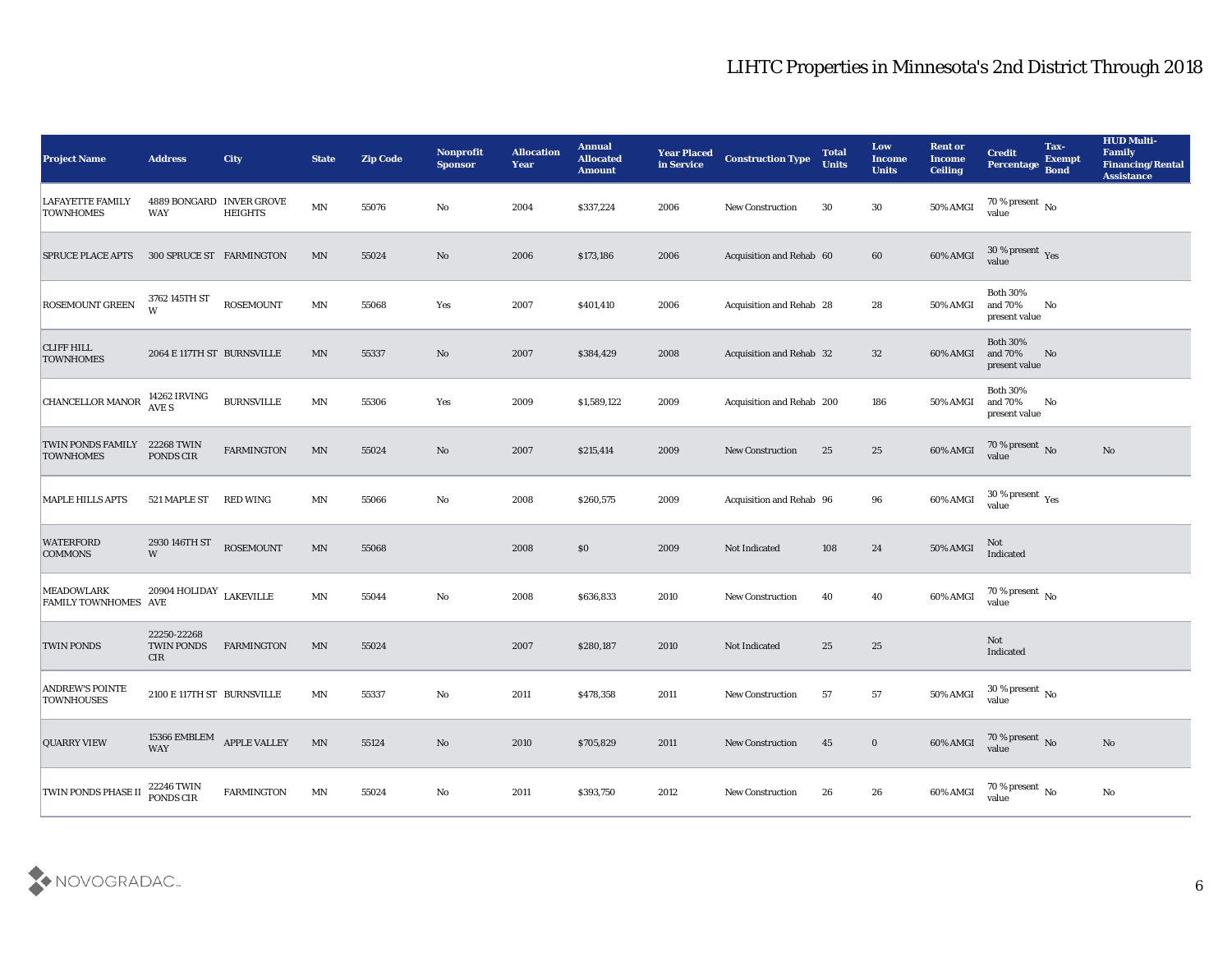| <b>Project Name</b>                              | <b>Address</b>                          | <b>City</b>                                    | <b>State</b>               | <b>Zip Code</b> | Nonprofit<br><b>Sponsor</b> | <b>Allocation</b><br><b>Year</b> | <b>Annual</b><br><b>Allocated</b><br><b>Amount</b> | <b>Year Placed</b><br>in Service | <b>Construction Type</b>  | <b>Total</b><br><b>Units</b> | Low<br><b>Income</b><br><b>Units</b> | <b>Rent or</b><br><b>Income</b><br><b>Ceiling</b> | <b>Credit</b><br>Percentage                                     | Tax-<br><b>Exempt</b><br><b>Bond</b> | <b>HUD Multi-</b><br>Family<br><b>Financing/Rental</b><br><b>Assistance</b> |
|--------------------------------------------------|-----------------------------------------|------------------------------------------------|----------------------------|-----------------|-----------------------------|----------------------------------|----------------------------------------------------|----------------------------------|---------------------------|------------------------------|--------------------------------------|---------------------------------------------------|-----------------------------------------------------------------|--------------------------------------|-----------------------------------------------------------------------------|
| <b>LAFAYETTE FAMILY</b><br><b>TOWNHOMES</b>      | 4889 BONGARD INVER GROVE<br>WAY         | <b>HEIGHTS</b>                                 | $\mathbf{M} \mathbf{N}$    | 55076           | No                          | 2004                             | \$337,224                                          | 2006                             | <b>New Construction</b>   | 30                           | 30                                   | 50% AMGI                                          | 70 % present $\,$ No $\,$<br>value                              |                                      |                                                                             |
| <b>SPRUCE PLACE APTS</b>                         | 300 SPRUCE ST FARMINGTON                |                                                | MN                         | 55024           | No                          | 2006                             | \$173,186                                          | 2006                             | Acquisition and Rehab 60  |                              | 60                                   | 60% AMGI                                          | 30 % present $\gamma_{\rm es}$<br>value                         |                                      |                                                                             |
| ROSEMOUNT GREEN                                  | 3762 145TH ST<br>W                      | <b>ROSEMOUNT</b>                               | $\ensuremath{\text{MN}}$   | 55068           | Yes                         | 2007                             | \$401,410                                          | 2006                             | Acquisition and Rehab 28  |                              | 28                                   | 50% AMGI                                          | <b>Both 30%</b><br>and 70%<br>present value                     | No                                   |                                                                             |
| <b>CLIFF HILL</b><br><b>TOWNHOMES</b>            | 2064 E 117TH ST BURNSVILLE              |                                                | MN                         | 55337           | No                          | 2007                             | \$384,429                                          | 2008                             | Acquisition and Rehab 32  |                              | 32                                   | 60% AMGI                                          | <b>Both 30%</b><br>and 70%<br>present value                     | No                                   |                                                                             |
| <b>CHANCELLOR MANOR</b>                          | 14262 IRVING<br>AVE S                   | <b>BURNSVILLE</b>                              | MN                         | 55306           | Yes                         | 2009                             | \$1,589,122                                        | 2009                             | Acquisition and Rehab 200 |                              | 186                                  | 50% AMGI                                          | <b>Both 30%</b><br>and 70%<br>present value                     | No                                   |                                                                             |
| TWIN PONDS FAMILY<br><b>TOWNHOMES</b>            | 22268 TWIN<br>PONDS CIR                 | <b>FARMINGTON</b>                              | MN                         | 55024           | No                          | 2007                             | \$215,414                                          | 2009                             | <b>New Construction</b>   | 25                           | 25                                   | 60% AMGI                                          | $\frac{70\%}{\text{value}}$ No                                  |                                      | No                                                                          |
| <b>MAPLE HILLS APTS</b>                          | 521 MAPLE ST                            | <b>RED WING</b>                                | MN                         | 55066           | No                          | 2008                             | \$260,575                                          | 2009                             | Acquisition and Rehab 96  |                              | 96                                   | 60% AMGI                                          | $30\,\%$ present $\,$ Yes value                                 |                                      |                                                                             |
| <b>WATERFORD</b><br><b>COMMONS</b>               | 2930 146TH ST<br>W                      | <b>ROSEMOUNT</b>                               | $\ensuremath{\text{MN}}$   | 55068           |                             | 2008                             | \$0                                                | 2009                             | Not Indicated             | 108                          | 24                                   | 50% AMGI                                          | Not<br>Indicated                                                |                                      |                                                                             |
| <b>MEADOWLARK</b><br><b>FAMILY TOWNHOMES AVE</b> | 20904 HOLIDAY $\rm LAKEVILLE$           |                                                | $\mathop{\rm MN}\nolimits$ | 55044           | No                          | 2008                             | \$636,833                                          | 2010                             | <b>New Construction</b>   | 40                           | 40                                   | 60% AMGI                                          | $70\,\%$ present $\,$ No value                                  |                                      |                                                                             |
| <b>TWIN PONDS</b>                                | 22250-22268<br><b>TWIN PONDS</b><br>CIR | <b>FARMINGTON</b>                              | MN                         | 55024           |                             | 2007                             | \$280,187                                          | 2010                             | Not Indicated             | 25                           | 25                                   |                                                   | <b>Not</b><br>Indicated                                         |                                      |                                                                             |
| <b>ANDREW'S POINTE</b><br><b>TOWNHOUSES</b>      | 2100 E 117TH ST BURNSVILLE              |                                                | MN                         | 55337           | No                          | 2011                             | \$478,358                                          | 2011                             | <b>New Construction</b>   | 57                           | 57                                   | 50% AMGI                                          | $30\,\%$ present $\,$ No $\,$<br>value                          |                                      |                                                                             |
| <b>QUARRY VIEW</b>                               |                                         | 15366 $\textsf{EMBLEM} \quad$ APPLE VALLEY WAY | $\ensuremath{\text{MN}}$   | 55124           | $\rm\thinspace No$          | 2010                             | \$705,829                                          | 2011                             | New Construction          | 45                           | $\bf{0}$                             |                                                   | 60% AMGI $\frac{70 \text{ %} \text{ present}}{\text{value}}$ No |                                      | $\mathbf{N}\mathbf{o}$                                                      |
| TWIN PONDS PHASE II                              | 22246 TWIN<br>PONDS CIR                 | FARMINGTON                                     | $\mathbf{M} \mathbf{N}$    | 55024           | $\mathbf {No}$              | 2011                             | \$393,750                                          | 2012                             | New Construction          | 26                           | ${\bf 26}$                           | 60% AMGI                                          | $70\,\%$ present $\,$ No value                                  |                                      | $\rm No$                                                                    |

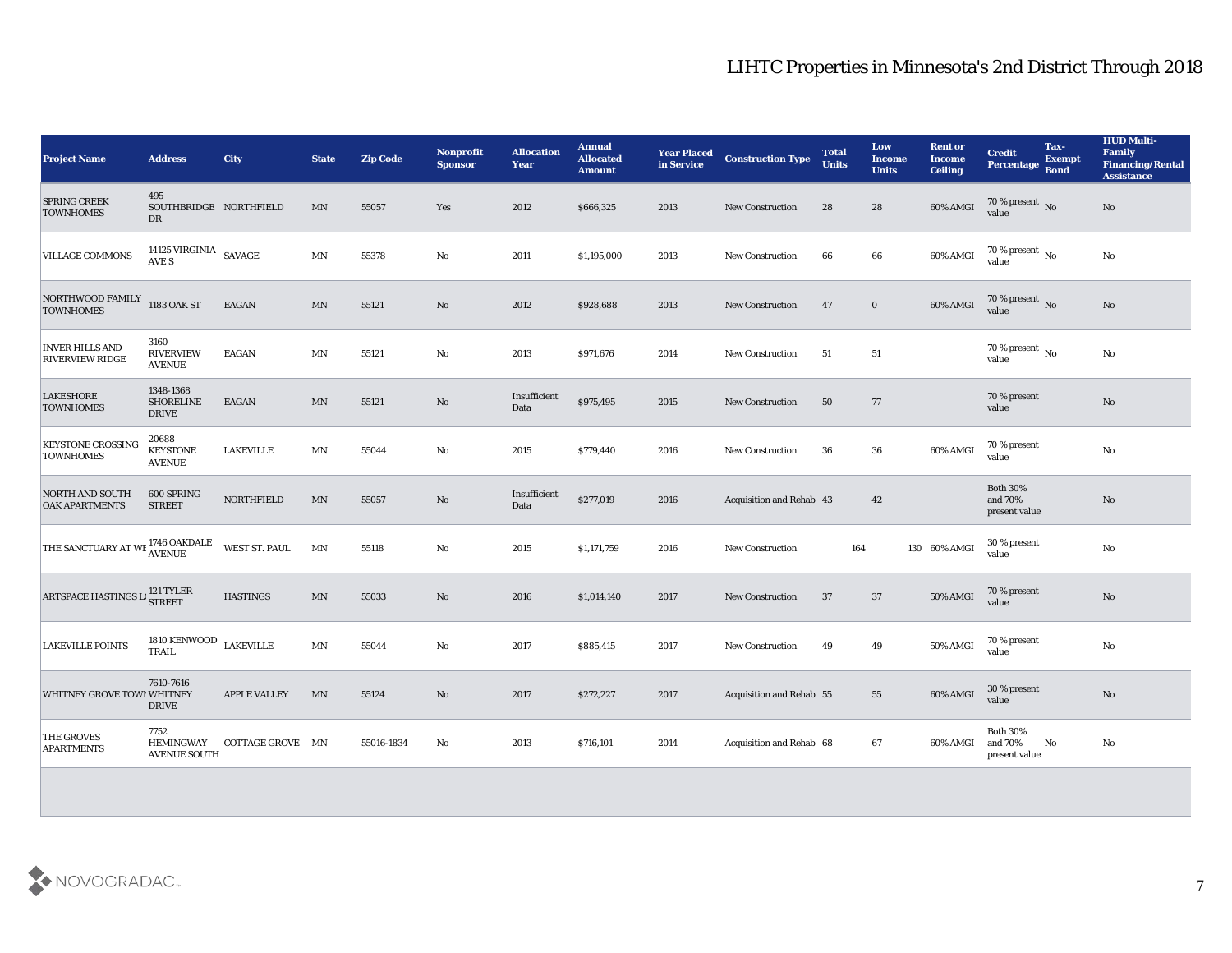| <b>Project Name</b>                              | <b>Address</b>                                  | <b>City</b>         | <b>State</b>             | <b>Zip Code</b> | Nonprofit<br><b>Sponsor</b> | <b>Allocation</b><br>Year | <b>Annual</b><br><b>Allocated</b><br><b>Amount</b> | <b>Year Placed<br/>in Service</b> | <b>Construction Type</b> | <b>Total</b><br><b>Units</b> | Low<br><b>Income</b><br><b>Units</b> | <b>Rent or</b><br><b>Income</b><br><b>Ceiling</b> | <b>Credit</b><br>Percentage Bond            | Tax-<br><b>Exempt</b> | <b>HUD Multi-</b><br>Family<br><b>Financing/Rental</b><br><b>Assistance</b> |
|--------------------------------------------------|-------------------------------------------------|---------------------|--------------------------|-----------------|-----------------------------|---------------------------|----------------------------------------------------|-----------------------------------|--------------------------|------------------------------|--------------------------------------|---------------------------------------------------|---------------------------------------------|-----------------------|-----------------------------------------------------------------------------|
| <b>SPRING CREEK</b><br><b>TOWNHOMES</b>          | 495<br>SOUTHBRIDGE NORTHFIELD<br><b>DR</b>      |                     | MN                       | 55057           | Yes                         | 2012                      | \$666,325                                          | 2013                              | <b>New Construction</b>  | 28                           | 28                                   | 60% AMGI                                          | $70\,\%$ present $\,$ No value              |                       | No                                                                          |
| <b>VILLAGE COMMONS</b>                           | 14125 VIRGINIA $\,$ SAVAGE<br>AVE S             |                     | MN                       | 55378           | No                          | 2011                      | \$1,195,000                                        | 2013                              | <b>New Construction</b>  | 66                           | 66                                   | 60% AMGI                                          | 70 % present $\overline{N_0}$<br>value      |                       | No                                                                          |
| NORTHWOOD FAMILY<br><b>TOWNHOMES</b>             | 1183 OAK ST                                     | <b>EAGAN</b>        | MN                       | 55121           | No                          | 2012                      | \$928,688                                          | 2013                              | New Construction         | 47                           | $\bf{0}$                             | 60% AMGI                                          | 70 % present No<br>value                    |                       | No                                                                          |
| <b>INVER HILLS AND</b><br><b>RIVERVIEW RIDGE</b> | 3160<br><b>RIVERVIEW</b><br><b>AVENUE</b>       | <b>EAGAN</b>        | MN                       | 55121           | No                          | 2013                      | \$971,676                                          | 2014                              | <b>New Construction</b>  | 51                           | 51                                   |                                                   | 70 % present $\,$ No $\,$<br>value          |                       | No                                                                          |
| <b>LAKESHORE</b><br><b>TOWNHOMES</b>             | 1348-1368<br><b>SHORELINE</b><br><b>DRIVE</b>   | <b>EAGAN</b>        | $\texttt{MN}$            | 55121           | $\rm\thinspace No$          | Insufficient<br>Data      | \$975,495                                          | 2015                              | <b>New Construction</b>  | 50                           | 77                                   |                                                   | 70 % present<br>value                       |                       | $\rm\thinspace No$                                                          |
| <b>KEYSTONE CROSSING</b><br><b>TOWNHOMES</b>     | 20688<br><b>KEYSTONE</b><br><b>AVENUE</b>       | <b>LAKEVILLE</b>    | MN                       | 55044           | No                          | 2015                      | \$779,440                                          | 2016                              | New Construction         | 36                           | 36                                   | 60% AMGI                                          | 70 % present<br>value                       |                       | No                                                                          |
| <b>NORTH AND SOUTH</b><br><b>OAK APARTMENTS</b>  | 600 SPRING<br><b>STREET</b>                     | <b>NORTHFIELD</b>   | MN                       | 55057           | No                          | Insufficient<br>Data      | \$277,019                                          | 2016                              | Acquisition and Rehab 43 |                              | 42                                   |                                                   | <b>Both 30%</b><br>and 70%<br>present value |                       | No                                                                          |
| THE SANCTUARY AT WE <sup>1746</sup> OAKDALE      |                                                 | WEST ST. PAUL       | $\ensuremath{\text{MN}}$ | 55118           | No                          | 2015                      | \$1,171,759                                        | 2016                              | <b>New Construction</b>  | 164                          |                                      | 130 60% AMGI                                      | 30 % present<br>value                       |                       | No                                                                          |
| ARTSPACE HASTINGS L <sup>121</sup> TYLER         |                                                 | <b>HASTINGS</b>     | MN                       | 55033           | $\rm\thinspace No$          | 2016                      | \$1,014,140                                        | 2017                              | <b>New Construction</b>  | 37                           | 37                                   | <b>50% AMGI</b>                                   | 70 % present<br>value                       |                       | $\rm\thinspace No$                                                          |
| <b>LAKEVILLE POINTS</b>                          | 1810 KENWOOD<br><b>TRAIL</b>                    | <b>LAKEVILLE</b>    | MN                       | 55044           | $\mathbf {No}$              | 2017                      | \$885,415                                          | 2017                              | New Construction         | 49                           | 49                                   | 50% AMGI                                          | 70 % present<br>value                       |                       | $\mathbf{N}\mathbf{o}$                                                      |
| WHITNEY GROVE TOWI WHITNEY                       | 7610-7616<br><b>DRIVE</b>                       | <b>APPLE VALLEY</b> | MN                       | 55124           | No                          | 2017                      | \$272,227                                          | 2017                              | Acquisition and Rehab 55 |                              | 55                                   | 60% AMGI                                          | 30 % present<br>value                       |                       | No                                                                          |
| <b>THE GROVES</b><br><b>APARTMENTS</b>           | 7752<br><b>HEMINGWAY</b><br><b>AVENUE SOUTH</b> | COTTAGE GROVE MN    |                          | 55016-1834      | No                          | 2013                      | \$716,101                                          | 2014                              | Acquisition and Rehab 68 |                              | 67                                   | 60% AMGI                                          | <b>Both 30%</b><br>and 70%<br>present value | No                    | No                                                                          |
|                                                  |                                                 |                     |                          |                 |                             |                           |                                                    |                                   |                          |                              |                                      |                                                   |                                             |                       |                                                                             |